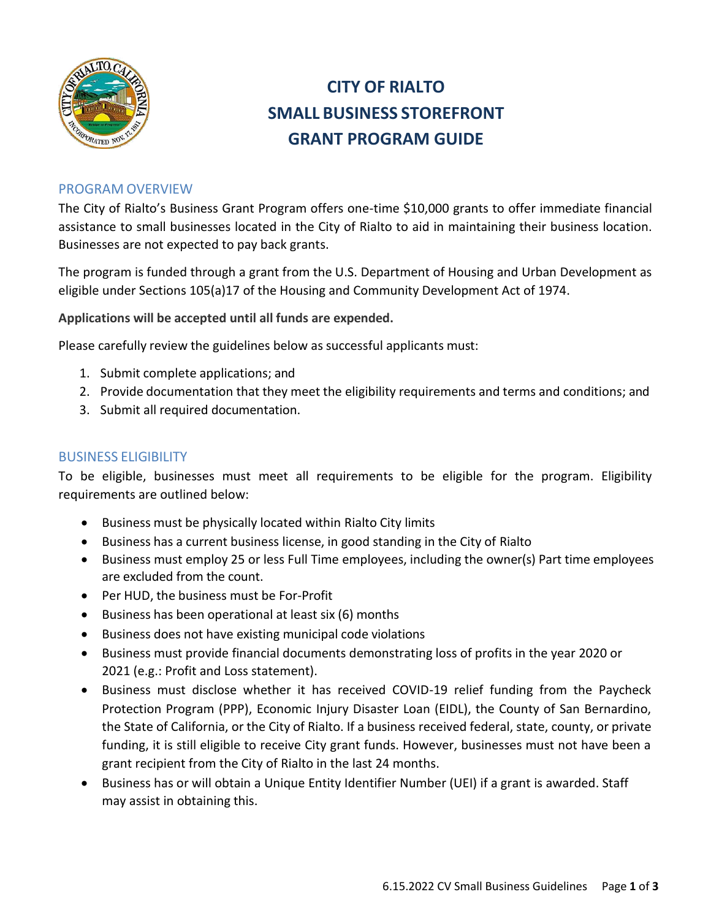

# **CITY OF RIALTO SMALL BUSINESS STOREFRONT GRANT PROGRAM GUIDE**

# PROGRAM OVERVIEW

The City of Rialto's Business Grant Program offers one-time \$10,000 grants to offer immediate financial assistance to small businesses located in the City of Rialto to aid in maintaining their business location. Businesses are not expected to pay back grants.

The program is funded through a grant from the U.S. Department of Housing and Urban Development as eligible under Sections 105(a)17 of the Housing and Community Development Act of 1974.

**Applications will be accepted until all funds are expended.**

Please carefully review the guidelines below as successful applicants must:

- 1. Submit complete applications; and
- 2. Provide documentation that they meet the eligibility requirements and terms and conditions; and
- 3. Submit all required documentation.

#### BUSINESS ELIGIBILITY

To be eligible, businesses must meet all requirements to be eligible for the program. Eligibility requirements are outlined below:

- Business must be physically located within Rialto City limits
- Business has a current business license, in good standing in the City of Rialto
- Business must employ 25 or less Full Time employees, including the owner(s) Part time employees are excluded from the count.
- Per HUD, the business must be For-Profit
- Business has been operational at least six (6) months
- Business does not have existing municipal code violations
- Business must provide financial documents demonstrating loss of profits in the year 2020 or 2021 (e.g.: Profit and Loss statement).
- Business must disclose whether it has received COVID-19 relief funding from the Paycheck Protection Program (PPP), Economic Injury Disaster Loan (EIDL), the County of San Bernardino, the State of California, or the City of Rialto. If a business received federal, state, county, or private funding, it is still eligible to receive City grant funds. However, businesses must not have been a grant recipient from the City of Rialto in the last 24 months.
- Business has or will obtain a Unique Entity Identifier Number (UEI) if a grant is awarded. Staff may assist in obtaining this.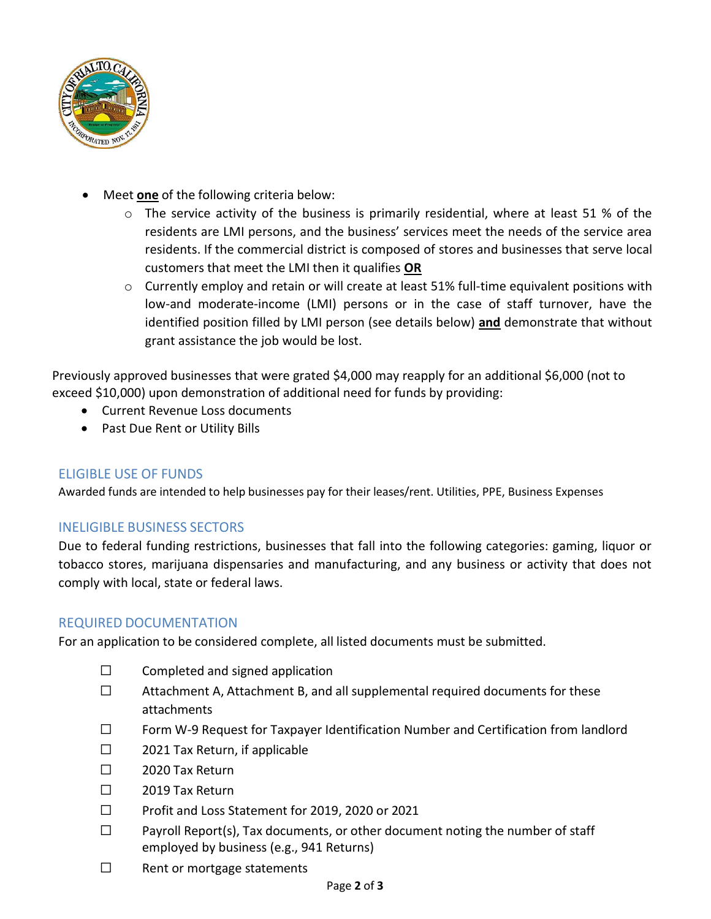

- Meet **one** of the following criteria below:
	- $\circ$  The service activity of the business is primarily residential, where at least 51 % of the residents are LMI persons, and the business' services meet the needs of the service area residents. If the commercial district is composed of stores and businesses that serve local customers that meet the LMI then it qualifies **OR**
	- o Currently employ and retain or will create at least 51% full-time equivalent positions with low-and moderate-income (LMI) persons or in the case of staff turnover, have the identified position filled by LMI person (see details below) **and** demonstrate that without grant assistance the job would be lost.

Previously approved businesses that were grated \$4,000 may reapply for an additional \$6,000 (not to exceed \$10,000) upon demonstration of additional need for funds by providing:

- Current Revenue Loss documents
- Past Due Rent or Utility Bills

# ELIGIBLE USE OF FUNDS

Awarded funds are intended to help businesses pay for their leases/rent. Utilities, PPE, Business Expenses

# INELIGIBLE BUSINESS SECTORS

Due to federal funding restrictions, businesses that fall into the following categories: gaming, liquor or tobacco stores, marijuana dispensaries and manufacturing, and any business or activity that does not comply with local, state or federal laws.

# REQUIRED DOCUMENTATION

For an application to be considered complete, all listed documents must be submitted.

- $\Box$  Completed and signed application
- ☐ Attachment A, Attachment B, and all supplemental required documents for these attachments
- ☐ Form W-9 Request for Taxpayer Identification Number and Certification from landlord
- ☐ 2021 Tax Return, if applicable
- ☐ 2020 Tax Return
- ☐ 2019 Tax Return
- ☐ Profit and Loss Statement for 2019, 2020 or 2021
- $\square$  Payroll Report(s), Tax documents, or other document noting the number of staff employed by business (e.g., 941 Returns)
- ☐ Rent or mortgage statements